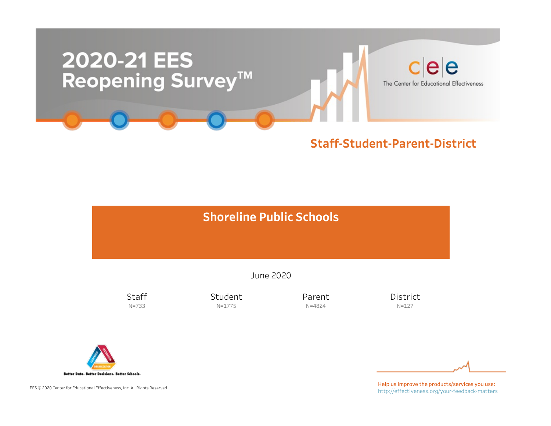

# **Shoreline Public Schools**

June2020

**Staff** N=733

Student N=1775

Parent N=4824

District N=127



EES © 2020 Center for Educational Effectiveness, Inc. All Rights Reserved.

Help us improve the products/services you use: http://effectiveness.org/your-feedback-matters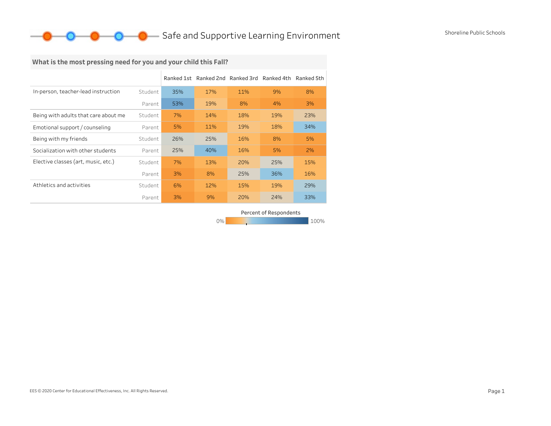## **O** Safe and Supportive Learning Environment Shoreline Public Schools

# What is the most pressing need for you and your child this Fall?

|                                      |         |     | Ranked 1st Ranked 2nd Ranked 3rd Ranked 4th Ranked 5th |     |     |     |
|--------------------------------------|---------|-----|--------------------------------------------------------|-----|-----|-----|
| In-person, teacher-lead instruction  | Student | 35% | 17%                                                    | 11% | 9%  | 8%  |
|                                      | Parent  | 53% | 19%                                                    | 8%  | 4%  | 3%  |
| Being with adults that care about me | Student | 7%  | 14%                                                    | 18% | 19% | 23% |
| Emotional support / counseling       | Parent  | 5%  | 11%                                                    | 19% | 18% | 34% |
| Being with my friends                | Student | 26% | 25%                                                    | 16% | 8%  | 5%  |
| Socialization with other students    | Parent  | 25% | 40%                                                    | 16% | 5%  | 2%  |
| Elective classes (art, music, etc.)  | Student | 7%  | 13%                                                    | 20% | 25% | 15% |
|                                      | Parent  | 3%  | 8%                                                     | 25% | 36% | 16% |
| Athletics and activities             | Student | 6%  | 12%                                                    | 15% | 19% | 29% |
|                                      | Parent  | 3%  | 9%                                                     | 20% | 24% | 33% |

Percent of Respondents

0% 100% 100% 100% 100%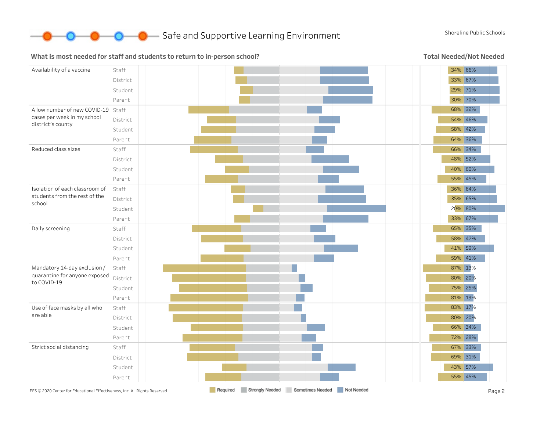

### What is most needed for staff and students to return to in-person school?

Total Needed/Not Needed

| Availability of a vaccine                                                  | Staff    |          |                 |                  |            | 34% 66% |         |
|----------------------------------------------------------------------------|----------|----------|-----------------|------------------|------------|---------|---------|
|                                                                            | District |          |                 |                  |            | 33% 67% |         |
|                                                                            | Student  |          |                 |                  |            | 29% 71% |         |
|                                                                            | Parent   |          |                 |                  |            | 30% 70% |         |
| A low number of new COVID-19 Staff                                         |          |          |                 |                  |            |         | 68% 32% |
| cases per week in my school                                                | District |          |                 |                  |            | 54% 46% |         |
| district's county                                                          | Student  |          |                 |                  |            | 58% 42% |         |
|                                                                            | Parent   |          |                 |                  |            | 64% 36% |         |
| Reduced class sizes                                                        | Staff    |          |                 |                  |            | 66% 34% |         |
|                                                                            | District |          |                 |                  |            | 48% 52% |         |
|                                                                            | Student  |          |                 |                  |            | 40% 60% |         |
|                                                                            | Parent   |          |                 |                  |            | 55% 45% |         |
| Isolation of each classroom of                                             | Staff    |          |                 |                  |            | 36% 64% |         |
| students from the rest of the<br>school                                    | District |          |                 |                  |            | 35% 65% |         |
|                                                                            | Student  |          |                 |                  |            | 20% 80% |         |
|                                                                            | Parent   |          |                 |                  |            | 33% 67% |         |
| Daily screening                                                            | Staff    |          |                 |                  |            |         | 65% 35% |
|                                                                            | District |          |                 |                  |            | 58% 42% |         |
|                                                                            | Student  |          |                 |                  |            | 41% 59% |         |
|                                                                            | Parent   |          |                 |                  |            | 59% 41% |         |
| Mandatory 14-day exclusion /                                               | Staff    |          |                 |                  |            | 87% 13% |         |
| quarantine for anyone exposed<br>to COVID-19                               | District |          |                 |                  |            | 80% 20% |         |
|                                                                            | Student  |          |                 |                  |            | 75% 25% |         |
|                                                                            | Parent   |          |                 |                  |            | 81% 19% |         |
| Use of face masks by all who                                               | Staff    |          |                 |                  |            | 83% 17% |         |
| are able                                                                   | District |          |                 |                  |            | 80% 20% |         |
|                                                                            | Student  |          |                 |                  |            | 66% 34% |         |
|                                                                            | Parent   |          |                 |                  |            |         | 72% 28% |
| Strict social distancing                                                   | Staff    |          |                 |                  |            |         | 67% 33% |
|                                                                            | District |          |                 |                  |            |         | 69% 31% |
|                                                                            | Student  |          |                 |                  |            | 43% 57% |         |
|                                                                            | Parent   |          |                 |                  |            |         | 55% 45% |
| EES © 2020 Center for Educational Effectiveness, Inc. All Rights Reserved. |          | Required | Strongly Needed | Sometimes Needed | Not Needed |         | Page 2  |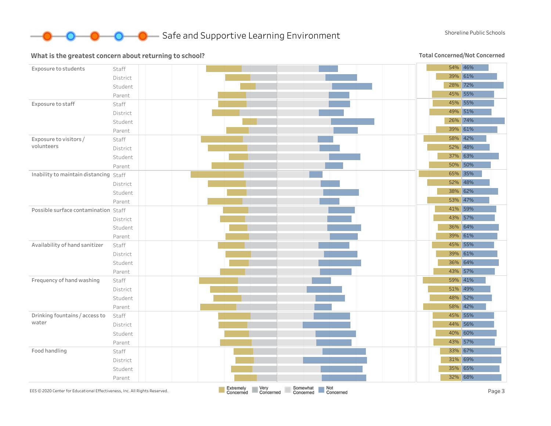

### What is the greatest concern about returning to school?

Total Concerned/Not Concerned

| Exposure to students                                                       | Staff    |                                                                                          | 54% 46% |
|----------------------------------------------------------------------------|----------|------------------------------------------------------------------------------------------|---------|
|                                                                            | District |                                                                                          | 39% 61% |
|                                                                            | Student  |                                                                                          | 28% 72% |
|                                                                            | Parent   |                                                                                          | 45% 55% |
| Exposure to staff                                                          | Staff    |                                                                                          | 45% 55% |
|                                                                            | District |                                                                                          | 49% 51% |
|                                                                            | Student  |                                                                                          | 26% 74% |
|                                                                            | Parent   |                                                                                          | 39% 61% |
| Exposure to visitors/                                                      | Staff    |                                                                                          | 58% 42% |
| volunteers                                                                 | District |                                                                                          | 52% 48% |
|                                                                            | Student  |                                                                                          | 37% 63% |
|                                                                            | Parent   |                                                                                          | 50% 50% |
| Inability to maintain distancing Staff                                     |          |                                                                                          | 65% 35% |
|                                                                            | District |                                                                                          | 52% 48% |
|                                                                            | Student  |                                                                                          | 38% 62% |
|                                                                            | Parent   |                                                                                          | 53% 47% |
| Possible surface contamination Staff                                       |          |                                                                                          | 41% 59% |
|                                                                            | District |                                                                                          | 43% 57% |
|                                                                            | Student  |                                                                                          | 36% 64% |
|                                                                            | Parent   |                                                                                          | 39% 61% |
| Availability of hand sanitizer                                             | Staff    |                                                                                          | 45% 55% |
|                                                                            | District |                                                                                          | 39% 61% |
|                                                                            | Student  |                                                                                          | 36% 64% |
|                                                                            | Parent   |                                                                                          | 43% 57% |
| Frequency of hand washing                                                  | Staff    |                                                                                          | 59% 41% |
|                                                                            | District |                                                                                          | 51% 49% |
|                                                                            | Student  |                                                                                          | 48% 52% |
|                                                                            | Parent   |                                                                                          | 58% 42% |
| Drinking fountains / access to                                             | Staff    |                                                                                          | 45% 55% |
| water                                                                      | District |                                                                                          | 44% 56% |
|                                                                            | Student  |                                                                                          | 40% 60% |
|                                                                            | Parent   |                                                                                          | 43% 57% |
| Food handling                                                              | Staff    |                                                                                          | 33% 67% |
|                                                                            | District |                                                                                          | 31% 69% |
|                                                                            | Student  |                                                                                          | 35% 65% |
|                                                                            | Parent   |                                                                                          | 32% 68% |
| EES © 2020 Center for Educational Effectiveness, Inc. All Rights Reserved. |          | Very<br>Somewhat<br>Not<br>Extremely<br>Concerned<br>Concerned<br>Concerned<br>Concerned | Page 3  |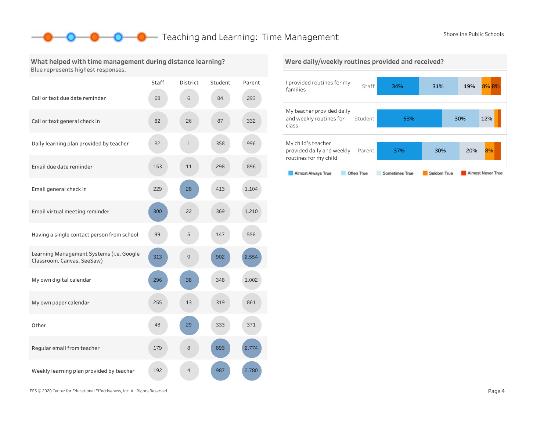### **O** Teaching and Learning: Time Management Shoreline Public Schools

### What helped with time management during distance learning? Blue represents highest responses.

|                                                                        | Staff | District       | Student | Parent |
|------------------------------------------------------------------------|-------|----------------|---------|--------|
| Call or text due date reminder                                         | 68    | 6              | 84      | 293    |
| Call or text general check in                                          | 82    | 26             | 87      | 332    |
| Daily learning plan provided by teacher                                | 32    | $\mathbf{1}$   | 358     | 996    |
| Email due date reminder                                                | 153   | 11             | 298     | 896    |
| Email general check in                                                 | 229   | 28             | 413     | 1,104  |
| Email virtual meeting reminder                                         | 300   | 22             | 369     | 1,210  |
| Having a single contact person from school                             | 99    | 5              | 147     | 558    |
| Learning Management Systems (i.e. Google<br>Classroom, Canvas, SeeSaw) | 313   | 9              | 902     | 2,554  |
| My own digital calendar                                                | 296   | 38             | 348     | 1,002  |
| My own paper calendar                                                  | 255   | 13             | 319     | 861    |
| Other                                                                  | 48    | 29             | 333     | 371    |
| Regular email from teacher                                             | 179   | 8              | 893     | 2,774  |
| Weekly learning plan provided by teacher                               | 192   | $\overline{4}$ | 987     | 2.780  |

### Were daily/weekly routines provided and received?



EES©2020CenterforEducationalEffectiveness,Inc.AllRightsReserved. Page4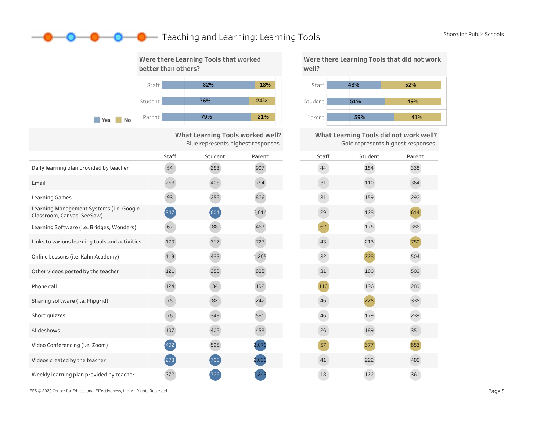### **O** Teaching and Learning: Learning Tools Shoreline Public Schools



What Learning Tools worked well? Blue represents highest responses.

|                                                                        | <b>Staff</b>        | Student | Parent | Staff |
|------------------------------------------------------------------------|---------------------|---------|--------|-------|
| Daily learning plan provided by teacher                                | 54                  | 253     | 907    | 44    |
| Email                                                                  | 263                 | 405     | 754    | 31    |
| <b>Learning Games</b>                                                  | 93                  | 256     | 826    | 31    |
| Learning Management Systems (i.e. Google<br>Classroom, Canvas, SeeSaw) | $\left( 347\right)$ | 604     | 2,014  | 29    |
| Learning Software (i.e. Bridges, Wonders)                              | 67                  | 88      | 467    | 62    |
| Links to various learning tools and activities                         | 170                 | 317     | 727    | 43    |
| Online Lessons (i.e. Kahn Academy)                                     | 119                 | 435     | 1,205  | 32    |
| Other videos posted by the teacher                                     | 121                 | 350     | 885    | 31    |
| Phone call                                                             | 124                 | 34      | 192    | 110   |
| Sharing software (i.e. Flipgrid)                                       | 75                  | 82      | 242    | 46    |
| Short quizzes                                                          | 76                  | 348     | 581    | 46    |
| Slideshows                                                             | 107                 | 402     | 453    | 26    |
| Video Conferencing (i.e. Zoom)                                         | 402                 | 595     | 2,070  | 57    |
| Videos created by the teacher                                          | 273                 | 705     | 2,030  | 41    |
| Weekly learning plan provided by teacher                               | 272                 | 726     |        | 18    |

Were there Learning Tools that did not work well?



What Learning Tools did not work well? Gold represents highest responses.

| Staff | Student | Parent |
|-------|---------|--------|
| 44    | 154     | 338    |
| 31    | 110     | 364    |
| 31    | 159     | 292    |
| 29    | 123     | 614    |
| 62    | 175     | 386    |
| 43    | 213     | 750    |
| 32    | 223     | 504    |
| 31    | 180     | 509    |
| 110   | 196     | 289    |
| 46    | 225     | 335    |
| 46    | 179     | 239    |
| 26    | 189     | 351    |
| 57    | 377     | 853    |
| 41    | 222     | 488    |
| 18    | 122     | 361    |

EES©2020CenterforEducationalEffectiveness,Inc.AllRightsReserved. Page5

D—0-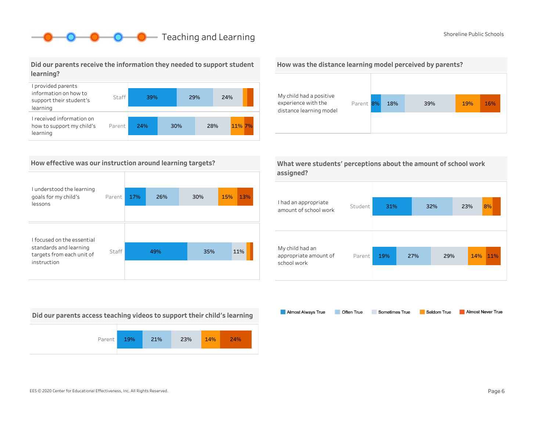# **O** Teaching and Learning Shoreline Public Schools

Did our parents receive the information they needed to support student learning?



### How effective was our instruction around learning targets?

| I understood the learning<br>goals for my child's<br>lessons | Parent | 17% | 26% | 30% | 15%<br>13% |
|--------------------------------------------------------------|--------|-----|-----|-----|------------|
|                                                              |        |     |     |     |            |
| I focused on the essential                                   |        |     |     |     |            |
| standards and learning<br>targets from each unit of          | Staff  |     | 49% | 35% | 11%        |
| instruction                                                  |        |     |     |     |            |

Did our parents access teaching videos to support their child's learning







|           | What were students' perceptions about the amount of school work |
|-----------|-----------------------------------------------------------------|
| assigned? |                                                                 |

| I had an appropriate<br>amount of school work           | Student | 31% |     | 32% |     | 23% |     | 8%  |
|---------------------------------------------------------|---------|-----|-----|-----|-----|-----|-----|-----|
| My child had an<br>appropriate amount of<br>school work | Parent  | 19% | 27% |     | 29% |     | 14% | 11% |

Almost Always True Sometimes True Almost Never True Often True Seldom True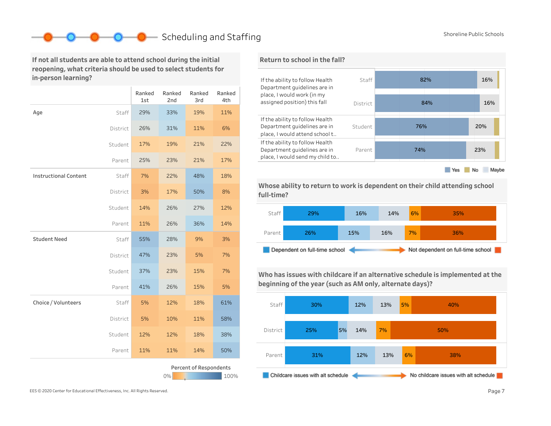# Scheduling and Staffing Shoreline Public Schools Shoreline Public Schools

If not all students are able to attend school during the initial reopening, what criteria should be used to select students for in-person learning?

|                              |          | Ranked<br>1st | Ranked<br>2nd | Ranked<br>3rd          | Ranked<br>4th |
|------------------------------|----------|---------------|---------------|------------------------|---------------|
| Age                          | Staff    | 29%           | 33%           | 19%                    | 11%           |
|                              | District | 26%           | 31%           | 11%                    | 6%            |
|                              | Student  | 17%           | 19%           | 21%                    | 22%           |
|                              | Parent   | 25%           | 23%           | 21%                    | 17%           |
| <b>Instructional Content</b> | Staff    | 7%            | 22%           | 48%                    | 18%           |
|                              | District | 3%            | 17%           | 50%                    | 8%            |
|                              | Student  | 14%           | 26%           | 27%                    | 12%           |
|                              | Parent   | 11%           | 26%           | 36%                    | 14%           |
| <b>Student Need</b>          | Staff    | 55%           | 28%           | 9%                     | 3%            |
|                              | District | 47%           | 23%           | 5%                     | 7%            |
|                              | Student  | 37%           | 23%           | 15%                    | 7%            |
|                              | Parent   | 41%           | 26%           | 15%                    | 5%            |
| Choice / Volunteers          | Staff    | 5%            | 12%           | 18%                    | 61%           |
|                              | District | 5%            | 10%           | 11%                    | 58%           |
|                              | Student  | 12%           | 12%           | 18%                    | 38%           |
|                              | Parent   | 11%           | 11%           | 14%                    | 50%           |
|                              |          |               | 0%            | Percent of Respondents | 100%          |



Whose ability to return to work is dependent on their child attending school full-time?



Who has issues with childcare if an alternative schedule is implemented at the beginning of the year (such as AM only, alternate days)?

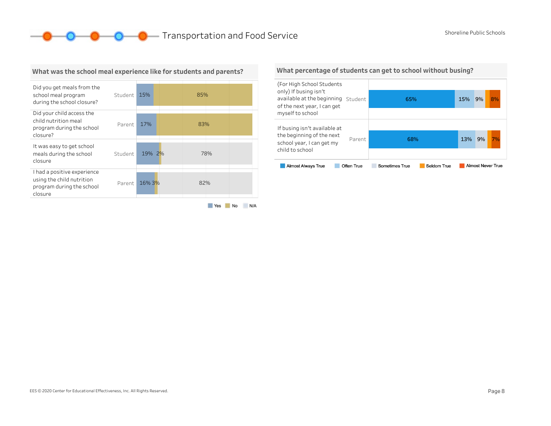**O** O Transportation and Food Service Shoreline Public Schools



### What was the school meal experience like for students and parents?

Yes No N/A

#### What percentage of students can get to school without busing?

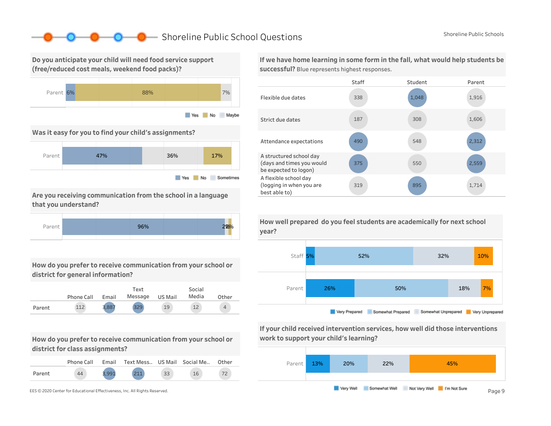### Shoreline Public School Questions Shoreline Public Schools Shoreline Public Schools

Do you anticipate your child will need food service support (free/reduced cost meals, weekend food packs)?



Was it easy for you to find your child's assignments?



Are you receiving communication from the school in a language that you understand?



How do you prefer to receive communication from your school or district for general information?

|        | Phone Call | Email | Text<br>Message | US Mail | Social<br>Media | Other |
|--------|------------|-------|-----------------|---------|-----------------|-------|
| Parent |            | 3.88. | 32S             | 19      | 12              | 4     |

How do you prefer to receive communication from your school or district for class assignments?

|        | Phone Call | Email | Text Mess US Mail Social Me |    |    | Other |
|--------|------------|-------|-----------------------------|----|----|-------|
| Parent | 44         |       | 211                         | 33 | 16 |       |

If we have home learning in some form in the fall, what would help students be successful? Blue represents highest responses.





If your child received intervention services, how well did those interventions work to support your child's learning?



year?

How well prepared do you feel students are academically for next school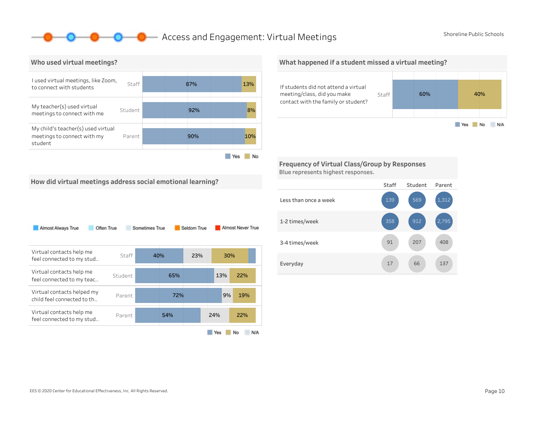### **O** Access and Engagement: Virtual Meetings Shoreline Public Schools



## What happened if a student missed a virtual meeting?



Frequency of Virtual Class/Group by Responses Blue represents highest responses.

How did virtual meetings address social emotional learning?

| Almost Always True<br>Often True                         |         | Sometimes True |     | Seldom True |     | Almost Never True |
|----------------------------------------------------------|---------|----------------|-----|-------------|-----|-------------------|
| Virtual contacts help me<br>feel connected to my stud    | Staff   | 40%            |     | 23%         | 30% |                   |
| Virtual contacts help me<br>feel connected to my teac    | Student |                | 65% |             | 13% | 22%               |
| Virtual contacts helped my<br>child feel connected to th | Parent  |                | 72% |             | 9%  | 19%               |
| Virtual contacts help me<br>feel connected to my stud    | Parent  |                | 54% |             | 24% | 22%               |
|                                                          |         |                |     |             | Yes | N/A<br>No         |

#### Staff Student Parent Lessthanonceaweek 1-2times/week 3-4 times/week Everyday 17 66 137 408 1,312 66 207 912 569 17 91 358 139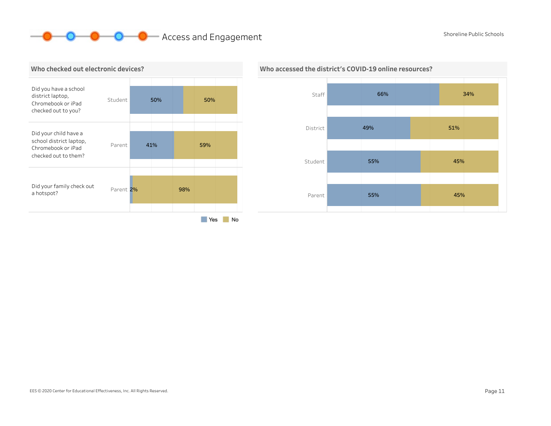# **O** O Access and Engagement Shoreline Public Schools Shoreline Public Schools





### Who accessed the district's COVID-19 online resources?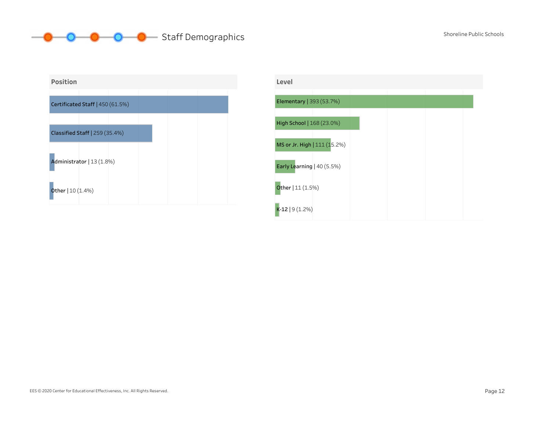#### **O** Staff Demographics Shoreline Public Schools Shoreline Public Schools  $\bullet$  -O-



| Level                        |  |  |
|------------------------------|--|--|
| Elementary   393 (53.7%)     |  |  |
| High School   168 (23.0%)    |  |  |
| MS or Jr. High   111 (15.2%) |  |  |
| Early Learning   40 (5.5%)   |  |  |
| Other   11 (1.5%)            |  |  |
| $K-12$   9 (1.2%)            |  |  |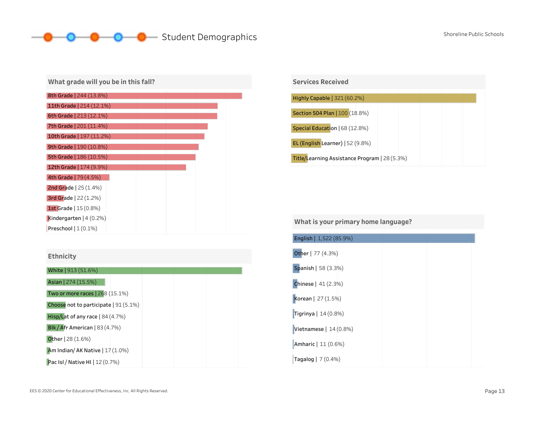# O Student Demographics Shoreline Public Schools Shoreline Public Schools

| What grade will you be in this fall? |
|--------------------------------------|
| 8th Grade   244 (13.8%)              |
| 11th Grade   214 (12.1%)             |
| 6th Grade   213 (12.1%)              |
| 7th Grade   201 (11.4%)              |
| 10th Grade   197 (11.2%)             |
| 9th Grade   190 (10.8%)              |
| <b>5th Grade   186 (10.5%)</b>       |
| 12th Grade   174 (9.9%)              |
| 4th Grade   79 (4.5%)                |
| <b>2nd Grade</b> $  25 (1.4%)$       |
| 3rd Grade $ 22(1.2%)$                |
| <b>1st Grade</b>   15 (0.8%)         |
| Kindergarten $(4 (0.2%)$             |
| Preschool $(1(0.1\%)$                |

| <b>Ethnicity</b> |  |
|------------------|--|
|------------------|--|

| White   913 (51.6%)                   |  |
|---------------------------------------|--|
| Asian   274 (15.5%)                   |  |
| Two or more races   268 (15.1%)       |  |
| Choose not to participate   91 (5.1%) |  |
| Hisp/Lat of any race $  84 (4.7%)$    |  |
| Blk / Afr American   83 $(4.7%)$      |  |
| <b>Other</b>   28 (1.6%)              |  |
| Am Indian/AK Native $ 17(1.0\%)$      |  |
| Pac Isl / Native HI   12 (0.7%)       |  |



### What is your primary home language?

| English   1,522 (85.9%)     |  |
|-----------------------------|--|
| Other   77 (4.3%)           |  |
| Spanish   58 (3.3%)         |  |
| <b>Chinese</b>   $41(2.3%)$ |  |
| Korean   27 (1.5%)          |  |
| Tigrinya   $14(0.8%)$       |  |
| Vietnamese   $14(0.8%)$     |  |
| Amharic   11 (0.6%)         |  |
| Tagalog   7 (0.4%)          |  |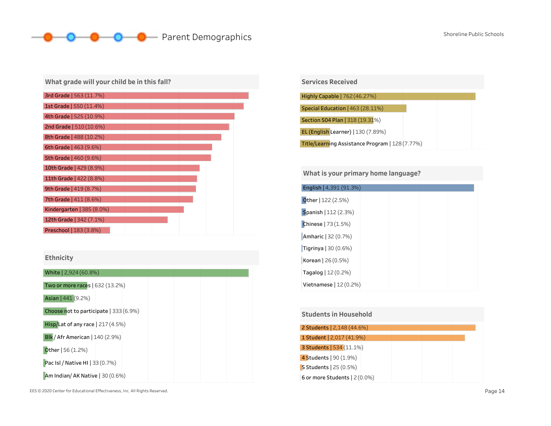# **O** Parent Demographics Shoreline Public Schools Shoreline Public Schools

| What grade will your child be in this fall? |
|---------------------------------------------|
| 3rd Grade   563 (11.7%)                     |
| <b>1st Grade   550 (11.4%)</b>              |
| 4th Grade   525 (10.9%)                     |
| <b>2nd Grade   510 (10.6%)</b>              |
| 8th Grade   488 (10.2%)                     |
| 6th Grade   463 (9.6%)                      |
| 5th Grade   460 (9.6%)                      |
| <b>10th Grade   429 (8.9%)</b>              |
| 11th Grade   422 (8.8%)                     |
| 9th Grade   419 (8.7%)                      |
| 7th Grade   411 (8.6%)                      |
| Kindergarten   385 $(8.0\%)$                |
| 12th Grade   342 (7.1%)                     |
| Preschool   183 (3.8%)                      |

### Ethnicity

| White   2,924 (60.8%)                  |
|----------------------------------------|
| Two or more races   632 (13.2%)        |
| Asian   441 (9.2%)                     |
| Choose not to participate   333 (6.9%) |
| Hisp/Lat of any race $ 217(4.5%)$      |
| <b>Blk</b> / Afr American   140 (2.9%) |
| Other $  56 (1.2%)$                    |
| Pac Isl / Native HI   33 (0.7%)        |
| Am Indian/ AK Native   30 (0.6%)       |

| <b>Services Received</b>                        |
|-------------------------------------------------|
|                                                 |
| Highly Capable   762 (46.27%)                   |
|                                                 |
| Special Education   463 (28.11%)                |
|                                                 |
| Section 504 Plan   318 (19.31%)                 |
| EL (English Learner)   130 (7.89%)              |
|                                                 |
| Title/Learning Assistance Program   128 (7.77%) |

### What is your primary home language?

| English   4,391 (91.3%)      |  |  |
|------------------------------|--|--|
| Other   122 (2.5%)           |  |  |
| Spanish   112 (2.3%)         |  |  |
| Chinese   73 (1.5%)          |  |  |
| Amharic   32 (0.7%)          |  |  |
| Tigrinya $ 30(0.6%)$         |  |  |
| Korean $ 26(0.5%)$           |  |  |
| <b>Tagalog</b> $  12 (0.2%)$ |  |  |
| Vietnamese $ 12(0.2%)$       |  |  |

### 6ormoreStudents|2(0.0%) 2 Students | 2,148 (44.6%) 1 Student | 2,017 (41.9%) 3Students|534(11.1%) **4 Students** | 90 (1.9%) **5 Students** 25 (0.5%) **Students in Household**

EES © 2020 Center for Educational Effectiveness, Inc. All Rights Reserved. **Page 14** and the state of the state of the state of the state of the state of the state of the state of the state of the state of the state of the